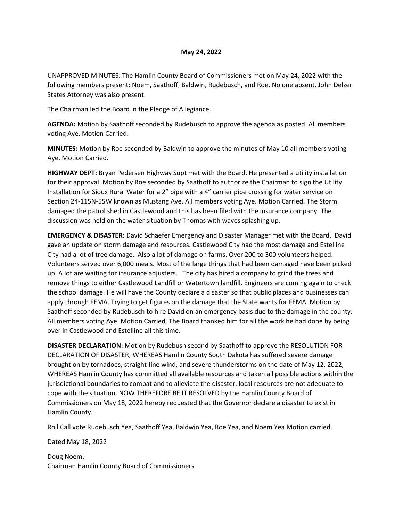## **May 24, 2022**

UNAPPROVED MINUTES: The Hamlin County Board of Commissioners met on May 24, 2022 with the following members present: Noem, Saathoff, Baldwin, Rudebusch, and Roe. No one absent. John Delzer States Attorney was also present.

The Chairman led the Board in the Pledge of Allegiance.

**AGENDA:** Motion by Saathoff seconded by Rudebusch to approve the agenda as posted. All members voting Aye. Motion Carried.

**MINUTES:** Motion by Roe seconded by Baldwin to approve the minutes of May 10 all members voting Aye. Motion Carried.

**HIGHWAY DEPT:** Bryan Pedersen Highway Supt met with the Board. He presented a utility installation for their approval. Motion by Roe seconded by Saathoff to authorize the Chairman to sign the Utility Installation for Sioux Rural Water for a 2" pipe with a 4" carrier pipe crossing for water service on Section 24-115N-55W known as Mustang Ave. All members voting Aye. Motion Carried. The Storm damaged the patrol shed in Castlewood and this has been filed with the insurance company. The discussion was held on the water situation by Thomas with waves splashing up.

**EMERGENCY & DISASTER:** David Schaefer Emergency and Disaster Manager met with the Board. David gave an update on storm damage and resources. Castlewood City had the most damage and Estelline City had a lot of tree damage. Also a lot of damage on farms. Over 200 to 300 volunteers helped. Volunteers served over 6,000 meals. Most of the large things that had been damaged have been picked up. A lot are waiting for insurance adjusters. The city has hired a company to grind the trees and remove things to either Castlewood Landfill or Watertown landfill. Engineers are coming again to check the school damage. He will have the County declare a disaster so that public places and businesses can apply through FEMA. Trying to get figures on the damage that the State wants for FEMA. Motion by Saathoff seconded by Rudebusch to hire David on an emergency basis due to the damage in the county. All members voting Aye. Motion Carried. The Board thanked him for all the work he had done by being over in Castlewood and Estelline all this time.

**DISASTER DECLARATION:** Motion by Rudebush second by Saathoff to approve the RESOLUTION FOR DECLARATION OF DISASTER; WHEREAS Hamlin County South Dakota has suffered severe damage brought on by tornadoes, straight-line wind, and severe thunderstorms on the date of May 12, 2022, WHEREAS Hamlin County has committed all available resources and taken all possible actions within the jurisdictional boundaries to combat and to alleviate the disaster, local resources are not adequate to cope with the situation. NOW THEREFORE BE IT RESOLVED by the Hamlin County Board of Commissioners on May 18, 2022 hereby requested that the Governor declare a disaster to exist in Hamlin County.

Roll Call vote Rudebusch Yea, Saathoff Yea, Baldwin Yea, Roe Yea, and Noem Yea Motion carried.

Dated May 18, 2022

Doug Noem, Chairman Hamlin County Board of Commissioners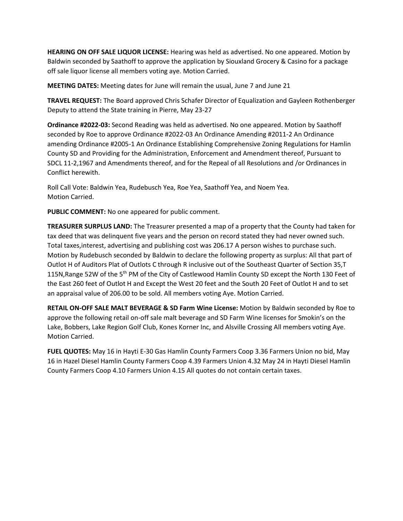**HEARING ON OFF SALE LIQUOR LICENSE:** Hearing was held as advertised. No one appeared. Motion by Baldwin seconded by Saathoff to approve the application by Siouxland Grocery & Casino for a package off sale liquor license all members voting aye. Motion Carried.

**MEETING DATES:** Meeting dates for June will remain the usual, June 7 and June 21

**TRAVEL REQUEST:** The Board approved Chris Schafer Director of Equalization and Gayleen Rothenberger Deputy to attend the State training in Pierre, May 23-27

**Ordinance #2022-03:** Second Reading was held as advertised. No one appeared. Motion by Saathoff seconded by Roe to approve Ordinance #2022-03 An Ordinance Amending #2011-2 An Ordinance amending Ordinance #2005-1 An Ordinance Establishing Comprehensive Zoning Regulations for Hamlin County SD and Providing for the Administration, Enforcement and Amendment thereof, Pursuant to SDCL 11-2,1967 and Amendments thereof, and for the Repeal of all Resolutions and /or Ordinances in Conflict herewith.

Roll Call Vote: Baldwin Yea, Rudebusch Yea, Roe Yea, Saathoff Yea, and Noem Yea. Motion Carried.

**PUBLIC COMMENT:** No one appeared for public comment.

**TREASURER SURPLUS LAND:** The Treasurer presented a map of a property that the County had taken for tax deed that was delinquent five years and the person on record stated they had never owned such. Total taxes,interest, advertising and publishing cost was 206.17 A person wishes to purchase such. Motion by Rudebusch seconded by Baldwin to declare the following property as surplus: All that part of Outlot H of Auditors Plat of Outlots C through R inclusive out of the Southeast Quarter of Section 35,T 115N, Range 52W of the 5<sup>th</sup> PM of the City of Castlewood Hamlin County SD except the North 130 Feet of the East 260 feet of Outlot H and Except the West 20 feet and the South 20 Feet of Outlot H and to set an appraisal value of 206.00 to be sold. All members voting Aye. Motion Carried.

**RETAIL ON-OFF SALE MALT BEVERAGE & SD Farm Wine License:** Motion by Baldwin seconded by Roe to approve the following retail on-off sale malt beverage and SD Farm Wine licenses for Smokin's on the Lake, Bobbers, Lake Region Golf Club, Kones Korner Inc, and Alsville Crossing All members voting Aye. Motion Carried.

**FUEL QUOTES:** May 16 in Hayti E-30 Gas Hamlin County Farmers Coop 3.36 Farmers Union no bid, May 16 in Hazel Diesel Hamlin County Farmers Coop 4.39 Farmers Union 4.32 May 24 in Hayti Diesel Hamlin County Farmers Coop 4.10 Farmers Union 4.15 All quotes do not contain certain taxes.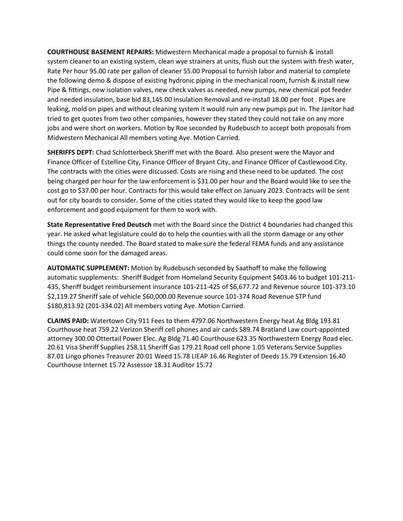**COURTHOUSE BASEMENT REPAIRS:** Midwestern Mechanical made a proposal to furnish & install system cleaner to an existing system, clean wye strainers at units, flush out the system with fresh water, Rate Per hour 95.00 rate per gallon of cleaner 55.00 Proposal to furnish labor and material to complete the following demo & dispose of existing hydronic piping in the mechanical room, furnish & install new Pipe & fittings, new isolation valves, new check valves as needed, new pumps, new chemical pot feeder and needed insulation, base bid 83,145.00 Insulation Removal and re-install 18.00 per foot . Pipes are leaking, mold on pipes and without cleaning system it would ruin any new pumps put in. The Janitor had tried to get quotes from two other companies, however they stated they could not take on any more jobs and were short on workers. Motion by Roe seconded by Rudebusch to accept both proposals from Midwestern Mechanical All members voting Aye. Motion Carried.

**SHERIFFS DEPT:** Chad Schlotterbeck Sheriff met with the Board. Also present were the Mayor and Finance Officer of Estelline City, Finance Officer of Bryant City, and Finance Officer of Castlewood City. The contracts with the cities were discussed. Costs are rising and these need to be updated. The cost being charged per hour for the law enforcement is \$31.00 per hour and the Board would like to see the cost go to \$37.00 per hour. Contracts for this would take effect on January 2023. Contracts will be sent out for city boards to consider. Some of the cities stated they would like to keep the good law enforcement and good equipment for them to work with.

**State Representative Fred Deutsch** met with the Board since the District 4 boundaries had changed this year. He asked what legislature could do to help the counties with all the storm damage or any other things the county needed. The Board stated to make sure the federal FEMA funds and any assistance could come soon for the damaged areas.

**AUTOMATIC SUPPLEMENT:** Motion by Rudebusch seconded by Saathoff to make the following automatic supplements: Sheriff Budget from Homeland Security Equipment \$403.46 to budget 101-211- 435, Sheriff budget reimbursement insurance 101-211-425 of \$6,677.72 and Revenue source 101-373.10 \$2,119.27 Sheriff sale of vehicle \$60,000.00 Revenue source 101-374 Road Revenue STP fund \$180,813.92 (201-334.02) All members voting Aye. Motion Carried.

**CLAIMS PAID:** Watertown City 911 Fees to them 4797.06 Northwestern Energy heat Ag Bldg 193.81 Courthouse heat 759.22 Verizon Sheriff cell phones and air cards 589.74 Bratland Law court-appointed attorney 300.00 Ottertail Power Elec. Ag Bldg 71.40 Courthouse 623.35 Northwestern Energy Road elec. 20.61 Visa Sheriff Supplies 258.11 Sheriff Gas 179.21 Road cell phone 1.05 Veterans Service Supplies 87.01 Lingo phones Treasurer 20.01 Weed 15.78 LIEAP 16.46 Register of Deeds 15.79 Extension 16.40 Courthouse Internet 15.72 Assessor 18.31 Auditor 15.72